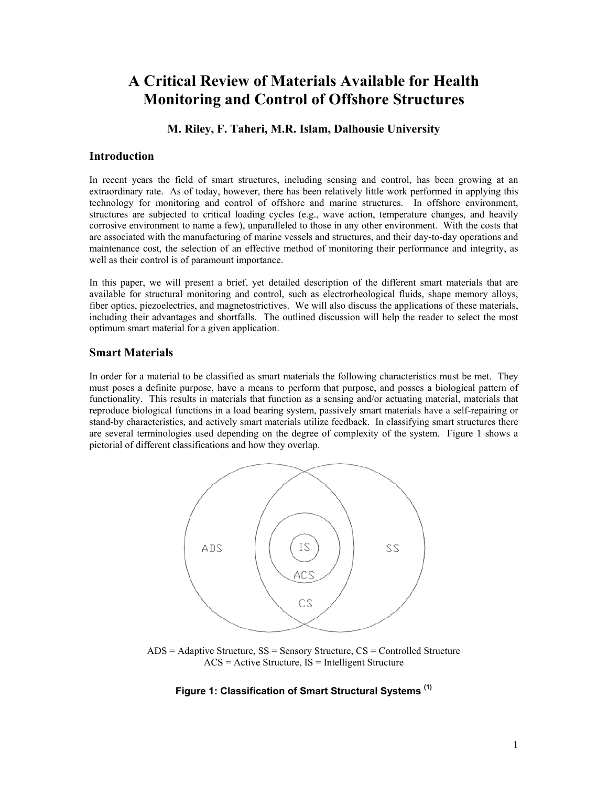# **A Critical Review of Materials Available for Health Monitoring and Control of Offshore Structures**

# **M. Riley, F. Taheri, M.R. Islam, Dalhousie University**

## **Introduction**

In recent years the field of smart structures, including sensing and control, has been growing at an extraordinary rate. As of today, however, there has been relatively little work performed in applying this technology for monitoring and control of offshore and marine structures. In offshore environment, structures are subjected to critical loading cycles (e.g., wave action, temperature changes, and heavily corrosive environment to name a few), unparalleled to those in any other environment. With the costs that are associated with the manufacturing of marine vessels and structures, and their day-to-day operations and maintenance cost, the selection of an effective method of monitoring their performance and integrity, as well as their control is of paramount importance.

In this paper, we will present a brief, yet detailed description of the different smart materials that are available for structural monitoring and control, such as electrorheological fluids, shape memory alloys, fiber optics, piezoelectrics, and magnetostrictives. We will also discuss the applications of these materials, including their advantages and shortfalls. The outlined discussion will help the reader to select the most optimum smart material for a given application.

## **Smart Materials**

In order for a material to be classified as smart materials the following characteristics must be met. They must poses a definite purpose, have a means to perform that purpose, and posses a biological pattern of functionality. This results in materials that function as a sensing and/or actuating material, materials that reproduce biological functions in a load bearing system, passively smart materials have a self-repairing or stand-by characteristics, and actively smart materials utilize feedback. In classifying smart structures there are several terminologies used depending on the degree of complexity of the system. Figure 1 shows a pictorial of different classifications and how they overlap.



ADS = Adaptive Structure, SS = Sensory Structure, CS = Controlled Structure  $ACS = Active Structure$ ,  $IS = Intelligence$  Structure

## **Figure 1: Classification of Smart Structural Systems (1)**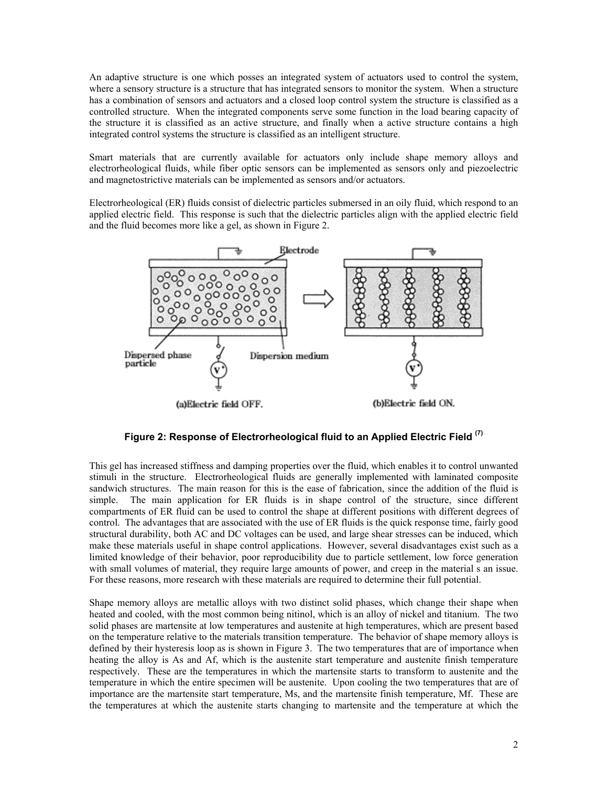An adaptive structure is one which posses an integrated system of actuators used to control the system, where a sensory structure is a structure that has integrated sensors to monitor the system. When a structure has a combination of sensors and actuators and a closed loop control system the structure is classified as a controlled structure. When the integrated components serve some function in the load bearing capacity of the structure it is classified as an active structure, and finally when a active structure contains a high integrated control systems the structure is classified as an intelligent structure.

Smart materials that are currently available for actuators only include shape memory alloys and electrorheological fluids, while fiber optic sensors can be implemented as sensors only and piezoelectric and magnetostrictive materials can be implemented as sensors and/or actuators.

Electrorheological (ER) fluids consist of dielectric particles submersed in an oily fluid, which respond to an applied electric field. This response is such that the dielectric particles align with the applied electric field and the fluid becomes more like a gel, as shown in Figure 2.



# **Figure 2: Response of Electrorheological fluid to an Applied Electric Field (7)**

This gel has increased stiffness and damping properties over the fluid, which enables it to control unwanted stimuli in the structure. Electrorheological fluids are generally implemented with laminated composite sandwich structures. The main reason for this is the ease of fabrication, since the addition of the fluid is simple. The main application for ER fluids is in shape control of the structure, since different compartments of ER fluid can be used to control the shape at different positions with different degrees of control. The advantages that are associated with the use of ER fluids is the quick response time, fairly good structural durability, both AC and DC voltages can be used, and large shear stresses can be induced, which make these materials useful in shape control applications. However, several disadvantages exist such as a limited knowledge of their behavior, poor reproducibility due to particle settlement, low force generation with small volumes of material, they require large amounts of power, and creep in the material s an issue. For these reasons, more research with these materials are required to determine their full potential.

Shape memory alloys are metallic alloys with two distinct solid phases, which change their shape when heated and cooled, with the most common being nitinol, which is an alloy of nickel and titanium. The two solid phases are martensite at low temperatures and austenite at high temperatures, which are present based on the temperature relative to the materials transition temperature. The behavior of shape memory alloys is defined by their hysteresis loop as is shown in Figure 3. The two temperatures that are of importance when heating the alloy is As and Af, which is the austenite start temperature and austenite finish temperature respectively. These are the temperatures in which the martensite starts to transform to austenite and the temperature in which the entire specimen will be austenite. Upon cooling the two temperatures that are of importance are the martensite start temperature, Ms, and the martensite finish temperature, Mf. These are the temperatures at which the austenite starts changing to martensite and the temperature at which the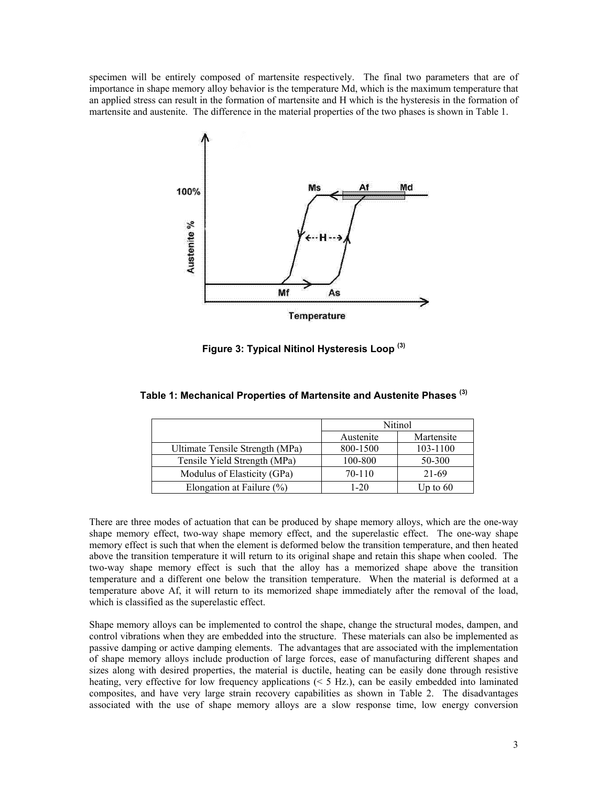specimen will be entirely composed of martensite respectively. The final two parameters that are of importance in shape memory alloy behavior is the temperature Md, which is the maximum temperature that an applied stress can result in the formation of martensite and H which is the hysteresis in the formation of martensite and austenite. The difference in the material properties of the two phases is shown in Table 1.



**Figure 3: Typical Nitinol Hysteresis Loop (3)** 

|                                 | Nitinol   |            |
|---------------------------------|-----------|------------|
|                                 | Austenite | Martensite |
| Ultimate Tensile Strength (MPa) | 800-1500  | 103-1100   |
| Tensile Yield Strength (MPa)    | 100-800   | 50-300     |
| Modulus of Elasticity (GPa)     | 70-110    | 21-69      |
| Elongation at Failure $(\% )$   | 1-20      | Up to $60$ |

**Table 1: Mechanical Properties of Martensite and Austenite Phases (3)** 

There are three modes of actuation that can be produced by shape memory alloys, which are the one-way shape memory effect, two-way shape memory effect, and the superelastic effect. The one-way shape memory effect is such that when the element is deformed below the transition temperature, and then heated above the transition temperature it will return to its original shape and retain this shape when cooled. The two-way shape memory effect is such that the alloy has a memorized shape above the transition temperature and a different one below the transition temperature. When the material is deformed at a temperature above Af, it will return to its memorized shape immediately after the removal of the load, which is classified as the superelastic effect.

Shape memory alloys can be implemented to control the shape, change the structural modes, dampen, and control vibrations when they are embedded into the structure. These materials can also be implemented as passive damping or active damping elements. The advantages that are associated with the implementation of shape memory alloys include production of large forces, ease of manufacturing different shapes and sizes along with desired properties, the material is ductile, heating can be easily done through resistive heating, very effective for low frequency applications (< 5 Hz.), can be easily embedded into laminated composites, and have very large strain recovery capabilities as shown in Table 2. The disadvantages associated with the use of shape memory alloys are a slow response time, low energy conversion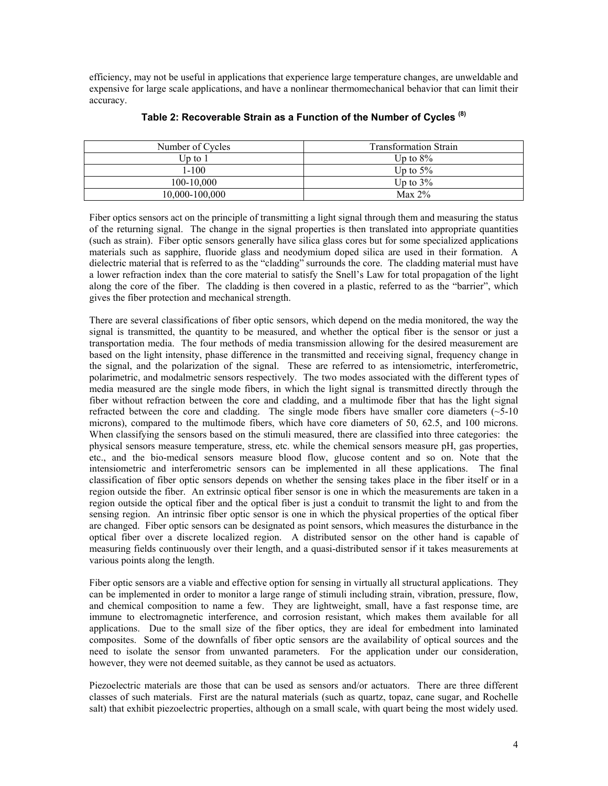efficiency, may not be useful in applications that experience large temperature changes, are unweldable and expensive for large scale applications, and have a nonlinear thermomechanical behavior that can limit their accuracy.

| Number of Cycles | <b>Transformation Strain</b> |  |
|------------------|------------------------------|--|
| Up to $1$        | Up to $8\%$                  |  |
| $1 - 100$        | Up to $5\%$                  |  |
| 100-10.000       | Up to $3\%$                  |  |
| 10,000-100,000   | Max $2\%$                    |  |

#### **Table 2: Recoverable Strain as a Function of the Number of Cycles (8)**

Fiber optics sensors act on the principle of transmitting a light signal through them and measuring the status of the returning signal. The change in the signal properties is then translated into appropriate quantities (such as strain). Fiber optic sensors generally have silica glass cores but for some specialized applications materials such as sapphire, fluoride glass and neodymium doped silica are used in their formation. A dielectric material that is referred to as the "cladding" surrounds the core. The cladding material must have a lower refraction index than the core material to satisfy the Snell's Law for total propagation of the light along the core of the fiber. The cladding is then covered in a plastic, referred to as the "barrier", which gives the fiber protection and mechanical strength.

There are several classifications of fiber optic sensors, which depend on the media monitored, the way the signal is transmitted, the quantity to be measured, and whether the optical fiber is the sensor or just a transportation media. The four methods of media transmission allowing for the desired measurement are based on the light intensity, phase difference in the transmitted and receiving signal, frequency change in the signal, and the polarization of the signal. These are referred to as intensiometric, interferometric, polarimetric, and modalmetric sensors respectively. The two modes associated with the different types of media measured are the single mode fibers, in which the light signal is transmitted directly through the fiber without refraction between the core and cladding, and a multimode fiber that has the light signal refracted between the core and cladding. The single mode fibers have smaller core diameters  $(\sim 5{\text -}10$ microns), compared to the multimode fibers, which have core diameters of 50, 62.5, and 100 microns. When classifying the sensors based on the stimuli measured, there are classified into three categories: the physical sensors measure temperature, stress, etc. while the chemical sensors measure pH, gas properties, etc., and the bio-medical sensors measure blood flow, glucose content and so on. Note that the intensiometric and interferometric sensors can be implemented in all these applications. The final classification of fiber optic sensors depends on whether the sensing takes place in the fiber itself or in a region outside the fiber. An extrinsic optical fiber sensor is one in which the measurements are taken in a region outside the optical fiber and the optical fiber is just a conduit to transmit the light to and from the sensing region. An intrinsic fiber optic sensor is one in which the physical properties of the optical fiber are changed. Fiber optic sensors can be designated as point sensors, which measures the disturbance in the optical fiber over a discrete localized region. A distributed sensor on the other hand is capable of measuring fields continuously over their length, and a quasi-distributed sensor if it takes measurements at various points along the length.

Fiber optic sensors are a viable and effective option for sensing in virtually all structural applications. They can be implemented in order to monitor a large range of stimuli including strain, vibration, pressure, flow, and chemical composition to name a few. They are lightweight, small, have a fast response time, are immune to electromagnetic interference, and corrosion resistant, which makes them available for all applications. Due to the small size of the fiber optics, they are ideal for embedment into laminated composites. Some of the downfalls of fiber optic sensors are the availability of optical sources and the need to isolate the sensor from unwanted parameters. For the application under our consideration, however, they were not deemed suitable, as they cannot be used as actuators.

Piezoelectric materials are those that can be used as sensors and/or actuators. There are three different classes of such materials. First are the natural materials (such as quartz, topaz, cane sugar, and Rochelle salt) that exhibit piezoelectric properties, although on a small scale, with quart being the most widely used.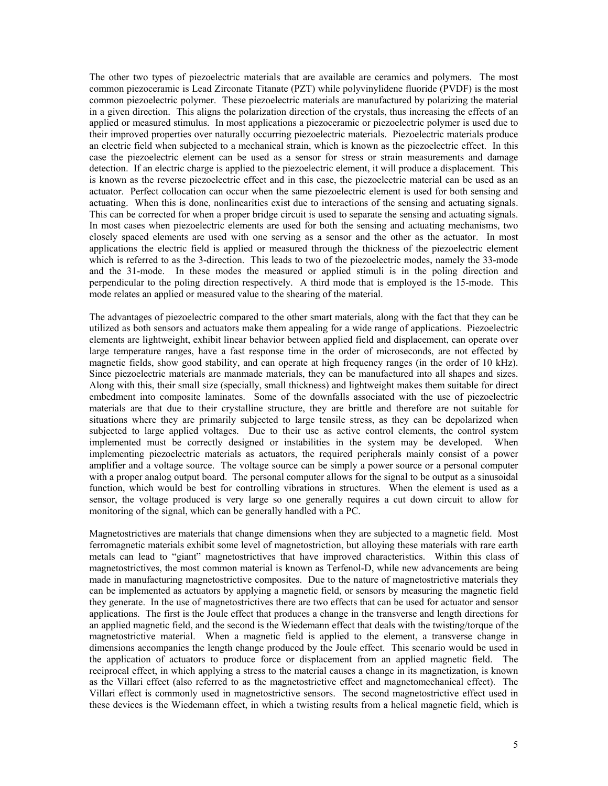The other two types of piezoelectric materials that are available are ceramics and polymers. The most common piezoceramic is Lead Zirconate Titanate (PZT) while polyvinylidene fluoride (PVDF) is the most common piezoelectric polymer. These piezoelectric materials are manufactured by polarizing the material in a given direction. This aligns the polarization direction of the crystals, thus increasing the effects of an applied or measured stimulus. In most applications a piezoceramic or piezoelectric polymer is used due to their improved properties over naturally occurring piezoelectric materials. Piezoelectric materials produce an electric field when subjected to a mechanical strain, which is known as the piezoelectric effect. In this case the piezoelectric element can be used as a sensor for stress or strain measurements and damage detection. If an electric charge is applied to the piezoelectric element, it will produce a displacement. This is known as the reverse piezoelectric effect and in this case, the piezoelectric material can be used as an actuator. Perfect collocation can occur when the same piezoelectric element is used for both sensing and actuating. When this is done, nonlinearities exist due to interactions of the sensing and actuating signals. This can be corrected for when a proper bridge circuit is used to separate the sensing and actuating signals. In most cases when piezoelectric elements are used for both the sensing and actuating mechanisms, two closely spaced elements are used with one serving as a sensor and the other as the actuator. In most applications the electric field is applied or measured through the thickness of the piezoelectric element which is referred to as the 3-direction. This leads to two of the piezoelectric modes, namely the 33-mode and the 31-mode. In these modes the measured or applied stimuli is in the poling direction and perpendicular to the poling direction respectively. A third mode that is employed is the 15-mode. This mode relates an applied or measured value to the shearing of the material.

The advantages of piezoelectric compared to the other smart materials, along with the fact that they can be utilized as both sensors and actuators make them appealing for a wide range of applications. Piezoelectric elements are lightweight, exhibit linear behavior between applied field and displacement, can operate over large temperature ranges, have a fast response time in the order of microseconds, are not effected by magnetic fields, show good stability, and can operate at high frequency ranges (in the order of 10 kHz). Since piezoelectric materials are manmade materials, they can be manufactured into all shapes and sizes. Along with this, their small size (specially, small thickness) and lightweight makes them suitable for direct embedment into composite laminates. Some of the downfalls associated with the use of piezoelectric materials are that due to their crystalline structure, they are brittle and therefore are not suitable for situations where they are primarily subjected to large tensile stress, as they can be depolarized when subjected to large applied voltages. Due to their use as active control elements, the control system implemented must be correctly designed or instabilities in the system may be developed. When implementing piezoelectric materials as actuators, the required peripherals mainly consist of a power amplifier and a voltage source. The voltage source can be simply a power source or a personal computer with a proper analog output board. The personal computer allows for the signal to be output as a sinusoidal function, which would be best for controlling vibrations in structures. When the element is used as a sensor, the voltage produced is very large so one generally requires a cut down circuit to allow for monitoring of the signal, which can be generally handled with a PC.

Magnetostrictives are materials that change dimensions when they are subjected to a magnetic field. Most ferromagnetic materials exhibit some level of magnetostriction, but alloying these materials with rare earth metals can lead to "giant" magnetostrictives that have improved characteristics. Within this class of magnetostrictives, the most common material is known as Terfenol-D, while new advancements are being made in manufacturing magnetostrictive composites. Due to the nature of magnetostrictive materials they can be implemented as actuators by applying a magnetic field, or sensors by measuring the magnetic field they generate. In the use of magnetostrictives there are two effects that can be used for actuator and sensor applications. The first is the Joule effect that produces a change in the transverse and length directions for an applied magnetic field, and the second is the Wiedemann effect that deals with the twisting/torque of the magnetostrictive material. When a magnetic field is applied to the element, a transverse change in dimensions accompanies the length change produced by the Joule effect. This scenario would be used in the application of actuators to produce force or displacement from an applied magnetic field. The reciprocal effect, in which applying a stress to the material causes a change in its magnetization, is known as the Villari effect (also referred to as the magnetostrictive effect and magnetomechanical effect). The Villari effect is commonly used in magnetostrictive sensors. The second magnetostrictive effect used in these devices is the Wiedemann effect, in which a twisting results from a helical magnetic field, which is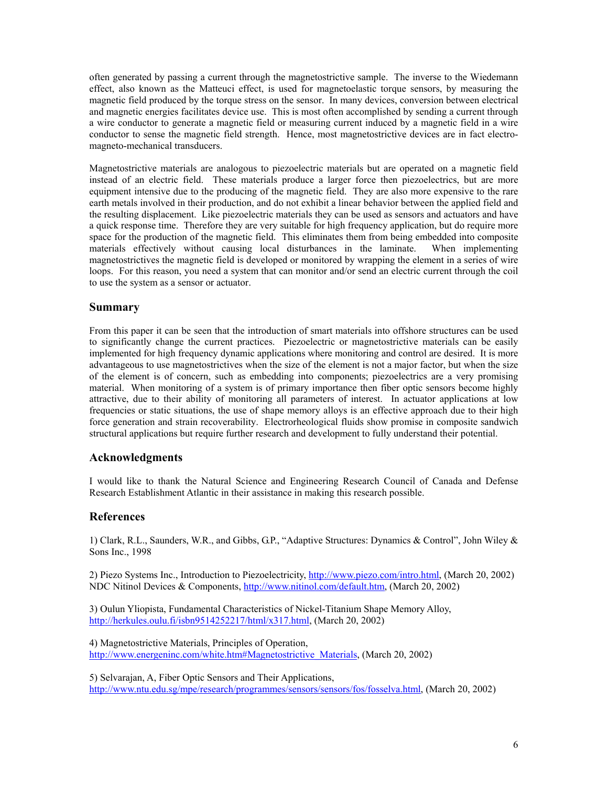often generated by passing a current through the magnetostrictive sample. The inverse to the Wiedemann effect, also known as the Matteuci effect, is used for magnetoelastic torque sensors, by measuring the magnetic field produced by the torque stress on the sensor. In many devices, conversion between electrical and magnetic energies facilitates device use. This is most often accomplished by sending a current through a wire conductor to generate a magnetic field or measuring current induced by a magnetic field in a wire conductor to sense the magnetic field strength. Hence, most magnetostrictive devices are in fact electromagneto-mechanical transducers.

Magnetostrictive materials are analogous to piezoelectric materials but are operated on a magnetic field instead of an electric field. These materials produce a larger force then piezoelectrics, but are more equipment intensive due to the producing of the magnetic field. They are also more expensive to the rare earth metals involved in their production, and do not exhibit a linear behavior between the applied field and the resulting displacement. Like piezoelectric materials they can be used as sensors and actuators and have a quick response time. Therefore they are very suitable for high frequency application, but do require more space for the production of the magnetic field. This eliminates them from being embedded into composite materials effectively without causing local disturbances in the laminate. When implementing magnetostrictives the magnetic field is developed or monitored by wrapping the element in a series of wire loops. For this reason, you need a system that can monitor and/or send an electric current through the coil to use the system as a sensor or actuator.

#### **Summary**

From this paper it can be seen that the introduction of smart materials into offshore structures can be used to significantly change the current practices. Piezoelectric or magnetostrictive materials can be easily implemented for high frequency dynamic applications where monitoring and control are desired. It is more advantageous to use magnetostrictives when the size of the element is not a major factor, but when the size of the element is of concern, such as embedding into components; piezoelectrics are a very promising material. When monitoring of a system is of primary importance then fiber optic sensors become highly attractive, due to their ability of monitoring all parameters of interest. In actuator applications at low frequencies or static situations, the use of shape memory alloys is an effective approach due to their high force generation and strain recoverability. Electrorheological fluids show promise in composite sandwich structural applications but require further research and development to fully understand their potential.

## **Acknowledgments**

I would like to thank the Natural Science and Engineering Research Council of Canada and Defense Research Establishment Atlantic in their assistance in making this research possible.

#### **References**

1) Clark, R.L., Saunders, W.R., and Gibbs, G.P., "Adaptive Structures: Dynamics & Control", John Wiley & Sons Inc., 1998

2) Piezo Systems Inc., Introduction to Piezoelectricity, http://www.piezo.com/intro.html, (March 20, 2002) NDC Nitinol Devices & Components, http://www.nitinol.com/default.htm, (March 20, 2002)

3) Oulun Yliopista, Fundamental Characteristics of Nickel-Titanium Shape Memory Alloy, http://herkules.oulu.fi/isbn9514252217/html/x317.html, (March 20, 2002)

4) Magnetostrictive Materials, Principles of Operation, http://www.energeninc.com/white.htm#Magnetostrictive\_Materials, (March 20, 2002)

5) Selvarajan, A, Fiber Optic Sensors and Their Applications, http://www.ntu.edu.sg/mpe/research/programmes/sensors/sensors/fos/fosselva.html, (March 20, 2002)